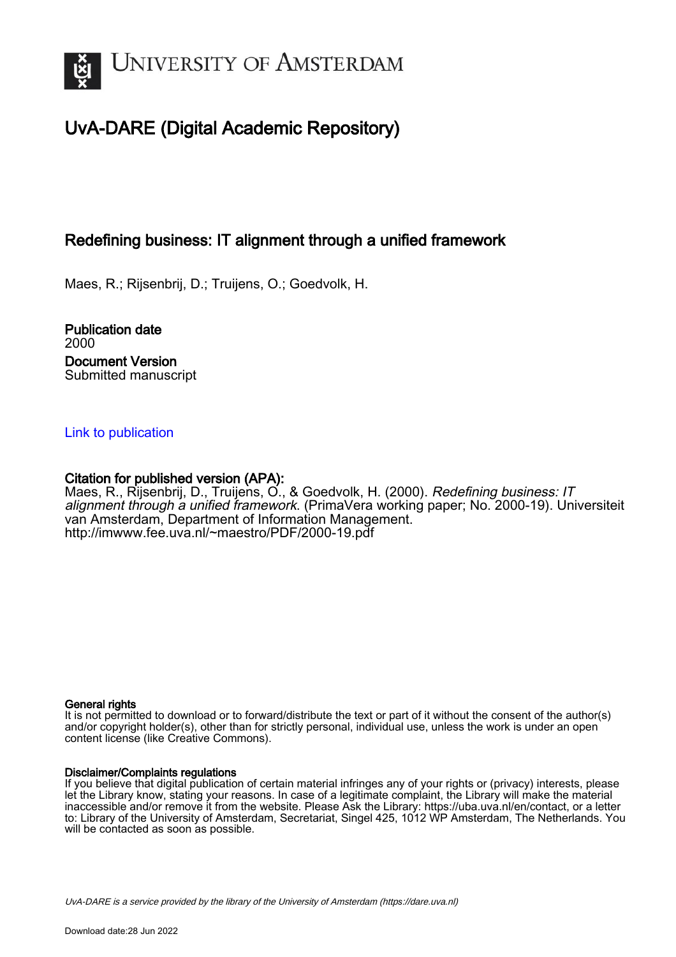

# UvA-DARE (Digital Academic Repository)

# Redefining business: IT alignment through a unified framework

Maes, R.; Rijsenbrij, D.; Truijens, O.; Goedvolk, H.

Publication date 2000 Document Version Submitted manuscript

# [Link to publication](https://dare.uva.nl/personal/pure/en/publications/redefining-business-it-alignment-through-a-unified-framework(c402f7ea-aded-47d3-a936-56d5e5c1e82d).html)

## Citation for published version (APA):

Maes, R., Rijsenbrij, D., Truijens, O., & Goedvolk, H. (2000). Redefining business: IT alignment through a unified framework. (PrimaVera working paper; No. 2000-19). Universiteit van Amsterdam, Department of Information Management. <http://imwww.fee.uva.nl/~maestro/PDF/2000-19.pdf>

#### General rights

It is not permitted to download or to forward/distribute the text or part of it without the consent of the author(s) and/or copyright holder(s), other than for strictly personal, individual use, unless the work is under an open content license (like Creative Commons).

#### Disclaimer/Complaints regulations

If you believe that digital publication of certain material infringes any of your rights or (privacy) interests, please let the Library know, stating your reasons. In case of a legitimate complaint, the Library will make the material inaccessible and/or remove it from the website. Please Ask the Library: https://uba.uva.nl/en/contact, or a letter to: Library of the University of Amsterdam, Secretariat, Singel 425, 1012 WP Amsterdam, The Netherlands. You will be contacted as soon as possible.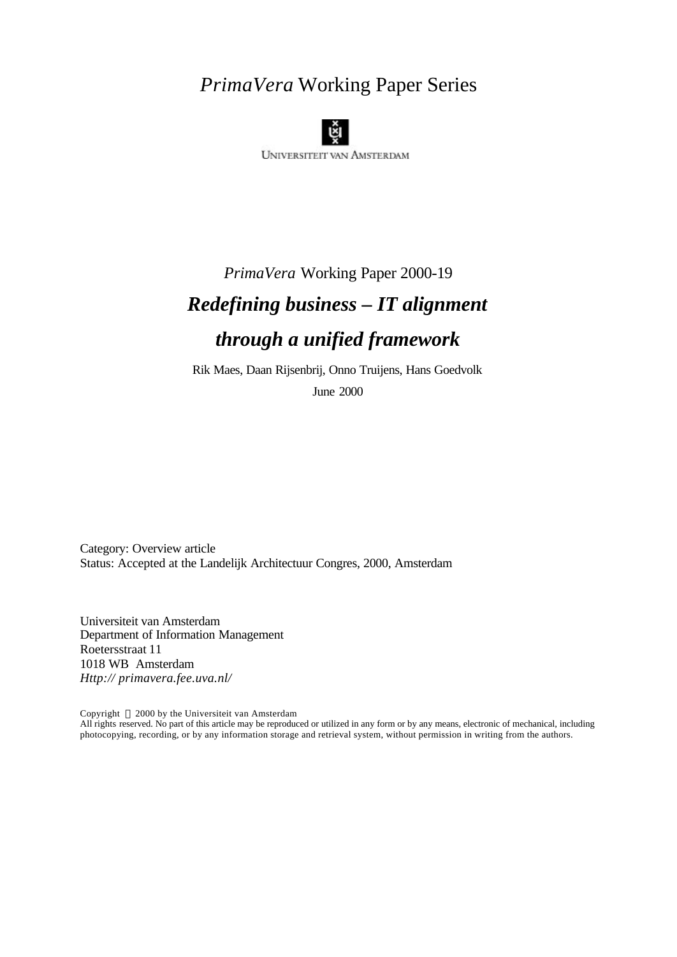*PrimaVera* Working Paper Series



**UNIVERSITEIT VAN AMSTERDAM** 

# *PrimaVera* Working Paper 2000-19 *Redefining business – IT alignment through a unified framework*

Rik Maes, Daan Rijsenbrij, Onno Truijens, Hans Goedvolk

June 2000

Category: Overview article Status: Accepted at the Landelijk Architectuur Congres, 2000, Amsterdam

Universiteit van Amsterdam Department of Information Management Roetersstraat 11 1018 WB Amsterdam *Http:// primavera.fee.uva.nl/*

Copyright 2000 by the Universiteit van Amsterdam

All rights reserved. No part of this article may be reproduced or utilized in any form or by any means, electronic of mechanical, including photocopying, recording, or by any information storage and retrieval system, without permission in writing from the authors.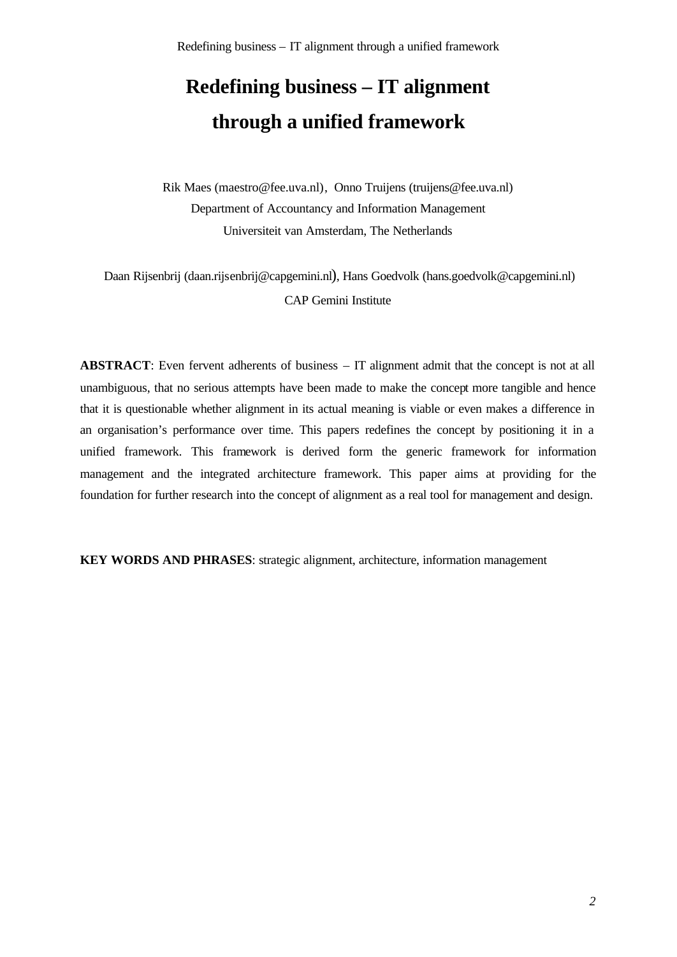# **Redefining business – IT alignment through a unified framework**

Rik Maes (maestro@fee.uva.nl), Onno Truijens (truijens@fee.uva.nl) Department of Accountancy and Information Management Universiteit van Amsterdam, The Netherlands

 Daan Rijsenbrij (daan.rijsenbrij@capgemini.nl), Hans Goedvolk (hans.goedvolk@capgemini.nl) CAP Gemini Institute

**ABSTRACT**: Even fervent adherents of business – IT alignment admit that the concept is not at all unambiguous, that no serious attempts have been made to make the concept more tangible and hence that it is questionable whether alignment in its actual meaning is viable or even makes a difference in an organisation's performance over time. This papers redefines the concept by positioning it in a unified framework. This framework is derived form the generic framework for information management and the integrated architecture framework. This paper aims at providing for the foundation for further research into the concept of alignment as a real tool for management and design.

**KEY WORDS AND PHRASES**: strategic alignment, architecture, information management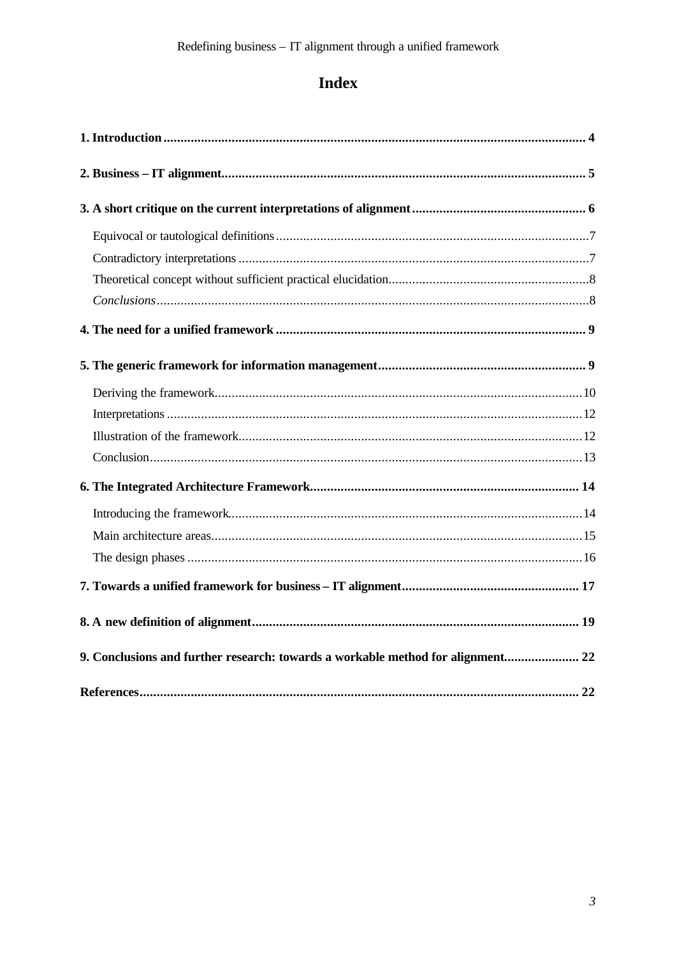# **Index**

| 9. Conclusions and further research: towards a workable method for alignment 22 |
|---------------------------------------------------------------------------------|
|                                                                                 |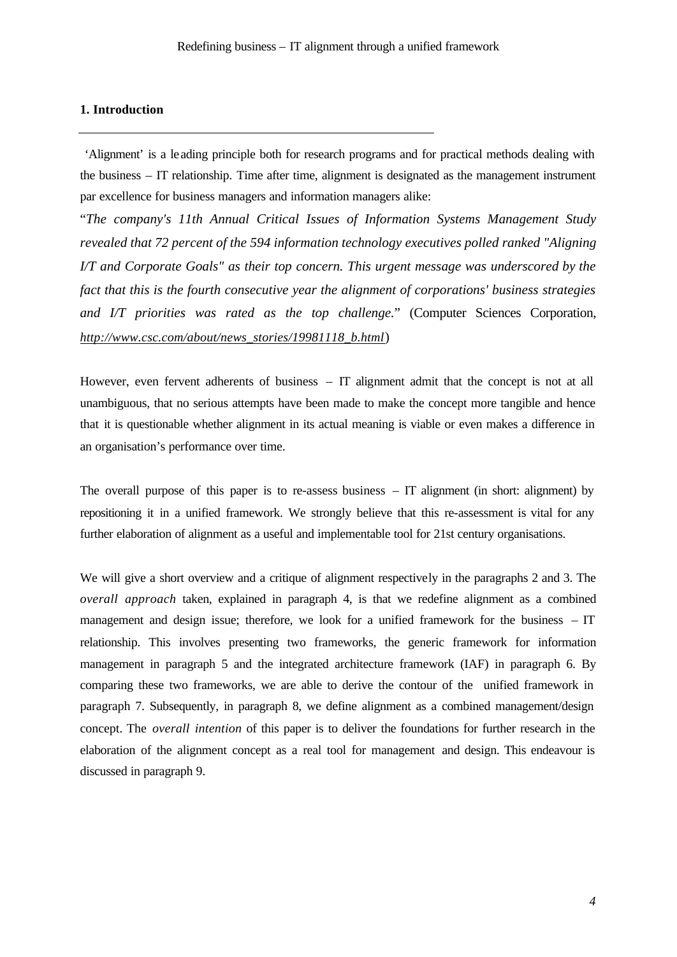## **1. Introduction**

 'Alignment' is a leading principle both for research programs and for practical methods dealing with the business – IT relationship. Time after time, alignment is designated as the management instrument par excellence for business managers and information managers alike:

"*The company's 11th Annual Critical Issues of Information Systems Management Study revealed that 72 percent of the 594 information technology executives polled ranked "Aligning I/T and Corporate Goals" as their top concern. This urgent message was underscored by the fact that this is the fourth consecutive year the alignment of corporations' business strategies and I/T priorities was rated as the top challenge.*" (Computer Sciences Corporation, *http://www.csc.com/about/news\_stories/19981118\_b.html*)

However, even fervent adherents of business – IT alignment admit that the concept is not at all unambiguous, that no serious attempts have been made to make the concept more tangible and hence that it is questionable whether alignment in its actual meaning is viable or even makes a difference in an organisation's performance over time.

The overall purpose of this paper is to re-assess business – IT alignment (in short: alignment) by repositioning it in a unified framework. We strongly believe that this re-assessment is vital for any further elaboration of alignment as a useful and implementable tool for 21st century organisations.

We will give a short overview and a critique of alignment respectively in the paragraphs 2 and 3. The *overall approach* taken, explained in paragraph 4, is that we redefine alignment as a combined management and design issue; therefore, we look for a unified framework for the business – IT relationship. This involves presenting two frameworks, the generic framework for information management in paragraph 5 and the integrated architecture framework (IAF) in paragraph 6. By comparing these two frameworks, we are able to derive the contour of the unified framework in paragraph 7. Subsequently, in paragraph 8, we define alignment as a combined management/design concept. The *overall intention* of this paper is to deliver the foundations for further research in the elaboration of the alignment concept as a real tool for management and design. This endeavour is discussed in paragraph 9.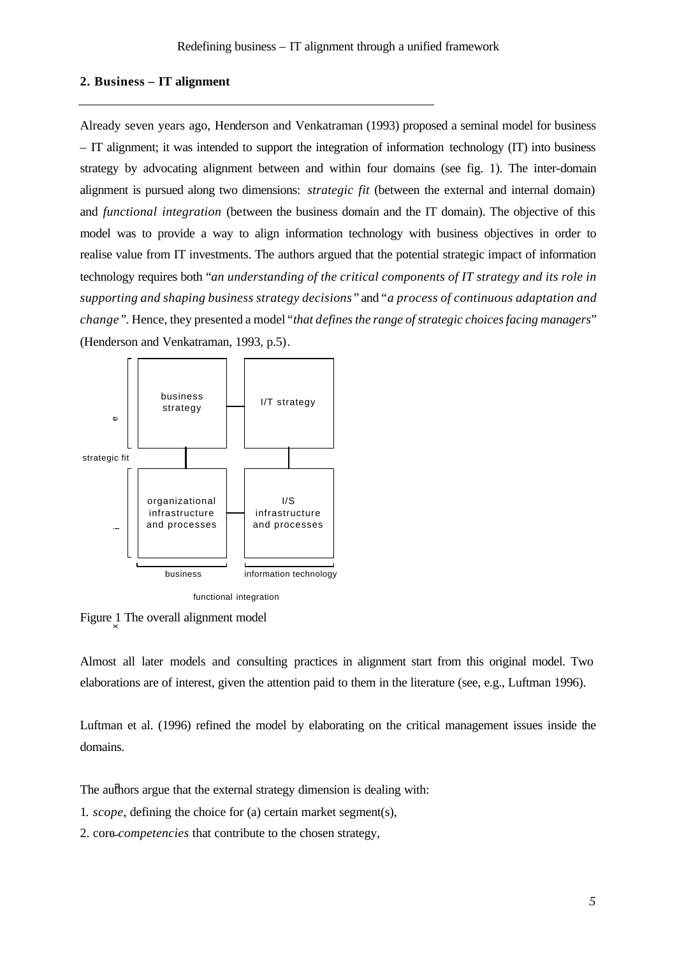### **2. Business – IT alignment**

Already seven years ago, Henderson and Venkatraman (1993) proposed a seminal model for business – IT alignment; it was intended to support the integration of information technology (IT) into business strategy by advocating alignment between and within four domains (see fig. 1). The inter-domain alignment is pursued along two dimensions: *strategic fit* (between the external and internal domain) and *functional integration* (between the business domain and the IT domain). The objective of this model was to provide a way to align information technology with business objectives in order to realise value from IT investments. The authors argued that the potential strategic impact of information technology requires both "*an understanding of the critical components of IT strategy and its role in supporting and shaping business strategy decisions"* and "*a process of continuous adaptation and change"*. Hence, they presented a model *"that defines the range of strategic choices facing managers*" (Henderson and Venkatraman, 1993, p.5).



functional integration

Figure 1 The overall alignment model

Almost all later models and consulting practices in alignment start from this original model. Two elaborations are of interest, given the attention paid to them in the literature (see, e.g., Luftman 1996).

Luftman et al. (1996) refined the model by elaborating on the critical management issues inside the domains.

The authors argue that the external strategy dimension is dealing with:

- 1*. scope*, defining the choice for (a) certain market segment(s),
- 2. core *competencies* that contribute to the chosen strategy,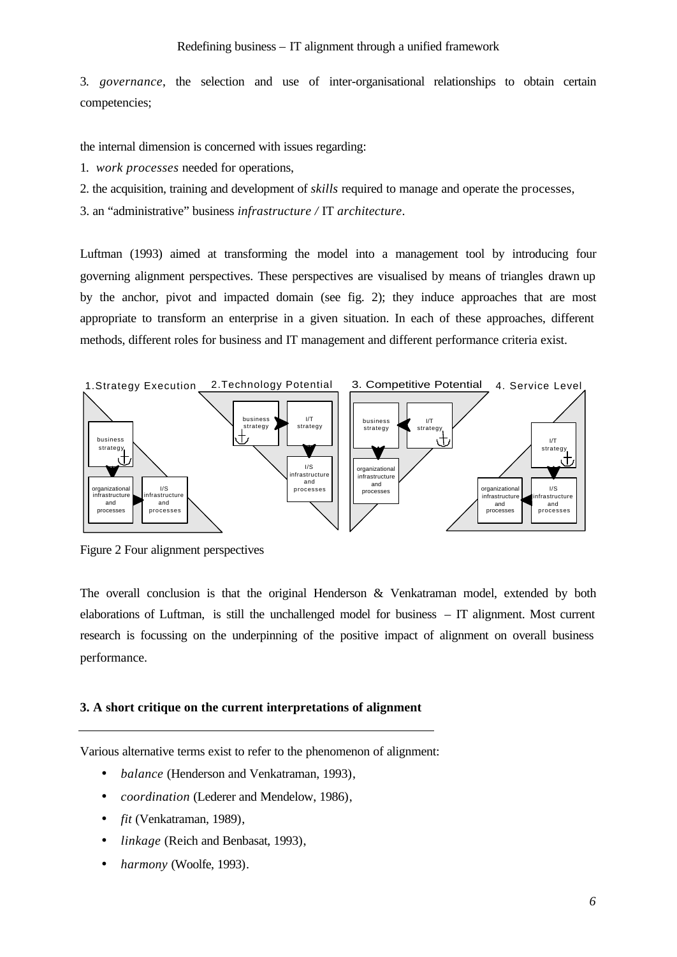3. *governance*, the selection and use of inter-organisational relationships to obtain certain competencies;

the internal dimension is concerned with issues regarding:

1. *work processes* needed for operations,

2. the acquisition, training and development of *skills* required to manage and operate the processes,

3. an "administrative" business *infrastructure /* IT *architecture*.

Luftman (1993) aimed at transforming the model into a management tool by introducing four governing alignment perspectives. These perspectives are visualised by means of triangles drawn up by the anchor, pivot and impacted domain (see fig. 2); they induce approaches that are most appropriate to transform an enterprise in a given situation. In each of these approaches, different methods, different roles for business and IT management and different performance criteria exist.



Figure 2 Four alignment perspectives

The overall conclusion is that the original Henderson & Venkatraman model, extended by both elaborations of Luftman, is still the unchallenged model for business – IT alignment. Most current research is focussing on the underpinning of the positive impact of alignment on overall business performance.

#### **3. A short critique on the current interpretations of alignment**

Various alternative terms exist to refer to the phenomenon of alignment:

- *balance* (Henderson and Venkatraman, 1993),
- *coordination* (Lederer and Mendelow, 1986),
- *fit* (Venkatraman, 1989),
- *linkage* (Reich and Benbasat, 1993),
- *harmony* (Woolfe, 1993).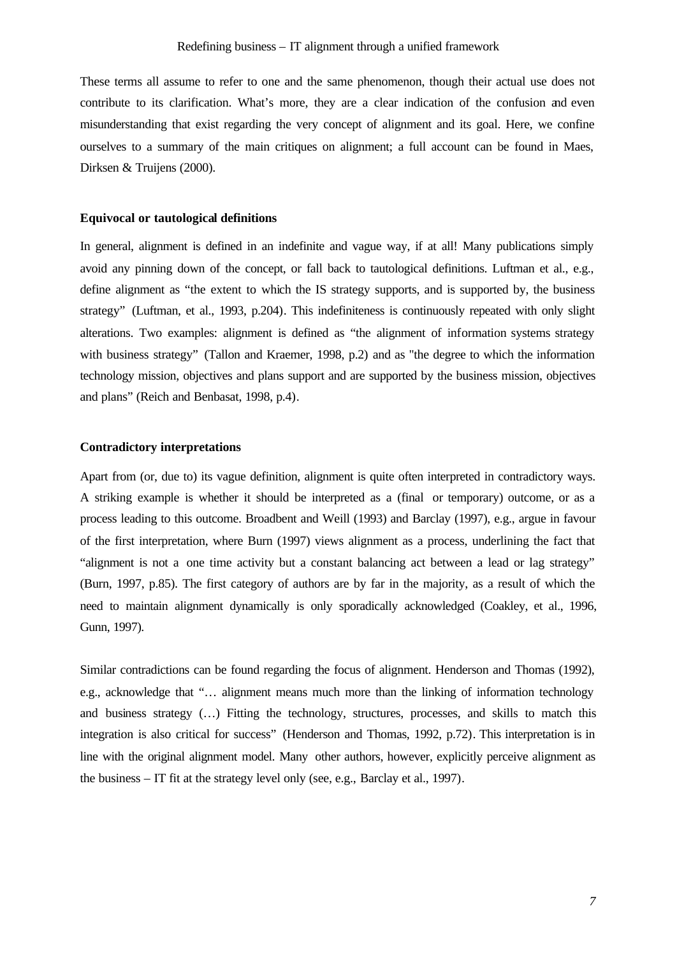These terms all assume to refer to one and the same phenomenon, though their actual use does not contribute to its clarification. What's more, they are a clear indication of the confusion and even misunderstanding that exist regarding the very concept of alignment and its goal. Here, we confine ourselves to a summary of the main critiques on alignment; a full account can be found in Maes, Dirksen & Truijens (2000).

#### **Equivocal or tautological definitions**

In general, alignment is defined in an indefinite and vague way, if at all! Many publications simply avoid any pinning down of the concept, or fall back to tautological definitions. Luftman et al., e.g., define alignment as "the extent to which the IS strategy supports, and is supported by, the business strategy" (Luftman, et al., 1993, p.204). This indefiniteness is continuously repeated with only slight alterations. Two examples: alignment is defined as "the alignment of information systems strategy with business strategy" (Tallon and Kraemer, 1998, p.2) and as "the degree to which the information technology mission, objectives and plans support and are supported by the business mission, objectives and plans" (Reich and Benbasat, 1998, p.4).

#### **Contradictory interpretations**

Apart from (or, due to) its vague definition, alignment is quite often interpreted in contradictory ways. A striking example is whether it should be interpreted as a (final or temporary) outcome, or as a process leading to this outcome. Broadbent and Weill (1993) and Barclay (1997), e.g., argue in favour of the first interpretation, where Burn (1997) views alignment as a process, underlining the fact that "alignment is not a one time activity but a constant balancing act between a lead or lag strategy" (Burn, 1997, p.85). The first category of authors are by far in the majority, as a result of which the need to maintain alignment dynamically is only sporadically acknowledged (Coakley, et al., 1996, Gunn, 1997).

Similar contradictions can be found regarding the focus of alignment. Henderson and Thomas (1992), e.g., acknowledge that "… alignment means much more than the linking of information technology and business strategy (…) Fitting the technology, structures, processes, and skills to match this integration is also critical for success" (Henderson and Thomas, 1992, p.72). This interpretation is in line with the original alignment model. Many other authors, however, explicitly perceive alignment as the business – IT fit at the strategy level only (see, e.g., Barclay et al., 1997).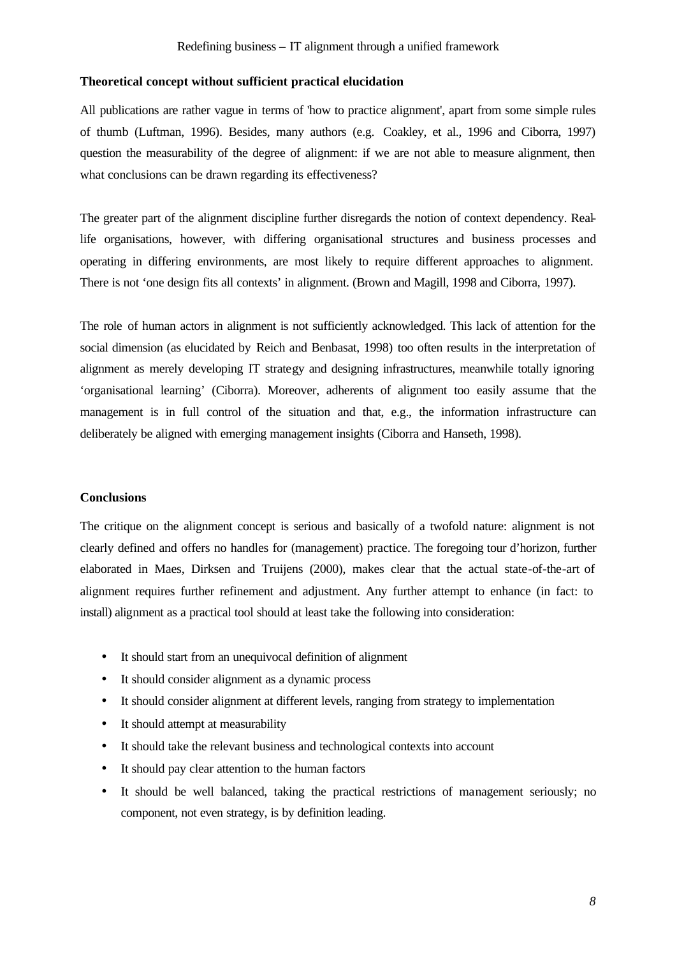#### **Theoretical concept without sufficient practical elucidation**

All publications are rather vague in terms of 'how to practice alignment', apart from some simple rules of thumb (Luftman, 1996). Besides, many authors (e.g. Coakley, et al., 1996 and Ciborra, 1997) question the measurability of the degree of alignment: if we are not able to measure alignment, then what conclusions can be drawn regarding its effectiveness?

The greater part of the alignment discipline further disregards the notion of context dependency. Reallife organisations, however, with differing organisational structures and business processes and operating in differing environments, are most likely to require different approaches to alignment. There is not 'one design fits all contexts' in alignment. (Brown and Magill, 1998 and Ciborra, 1997).

The role of human actors in alignment is not sufficiently acknowledged. This lack of attention for the social dimension (as elucidated by Reich and Benbasat, 1998) too often results in the interpretation of alignment as merely developing IT strategy and designing infrastructures, meanwhile totally ignoring 'organisational learning' (Ciborra). Moreover, adherents of alignment too easily assume that the management is in full control of the situation and that, e.g., the information infrastructure can deliberately be aligned with emerging management insights (Ciborra and Hanseth, 1998).

#### **Conclusions**

The critique on the alignment concept is serious and basically of a twofold nature: alignment is not clearly defined and offers no handles for (management) practice. The foregoing tour d'horizon, further elaborated in Maes, Dirksen and Truijens (2000), makes clear that the actual state-of-the-art of alignment requires further refinement and adjustment. Any further attempt to enhance (in fact: to install) alignment as a practical tool should at least take the following into consideration:

- It should start from an unequivocal definition of alignment
- It should consider alignment as a dynamic process
- It should consider alignment at different levels, ranging from strategy to implementation
- It should attempt at measurability
- It should take the relevant business and technological contexts into account
- It should pay clear attention to the human factors
- It should be well balanced, taking the practical restrictions of management seriously; no component, not even strategy, is by definition leading.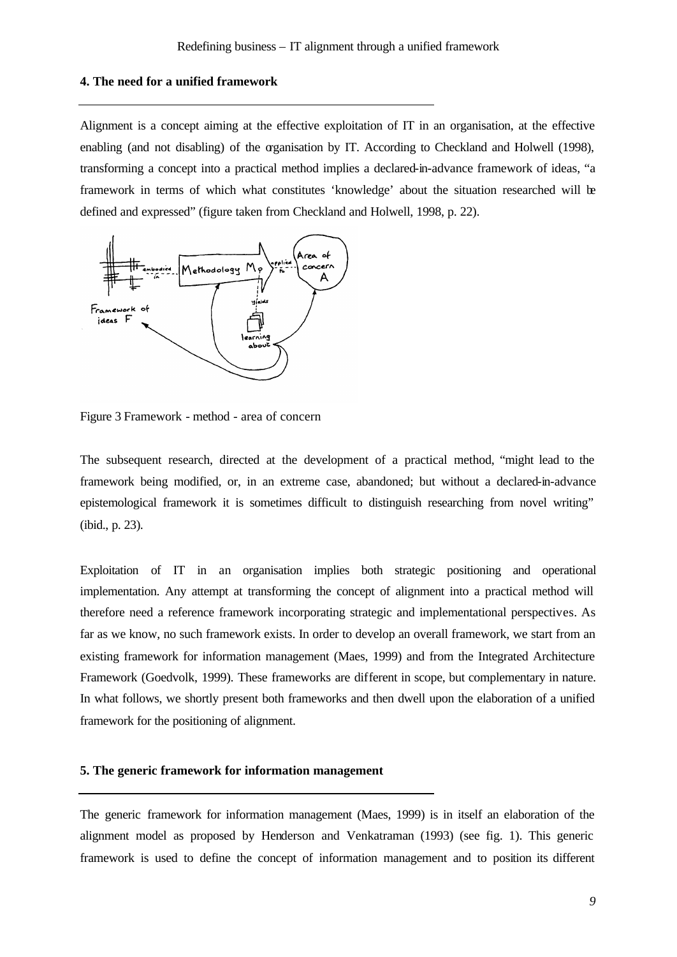#### **4. The need for a unified framework**

Alignment is a concept aiming at the effective exploitation of IT in an organisation, at the effective enabling (and not disabling) of the organisation by IT. According to Checkland and Holwell (1998), transforming a concept into a practical method implies a declared-in-advance framework of ideas, "a framework in terms of which what constitutes 'knowledge' about the situation researched will be defined and expressed" (figure taken from Checkland and Holwell, 1998, p. 22).



Figure 3 Framework - method - area of concern

The subsequent research, directed at the development of a practical method, "might lead to the framework being modified, or, in an extreme case, abandoned; but without a declared-in-advance epistemological framework it is sometimes difficult to distinguish researching from novel writing" (ibid., p. 23).

Exploitation of IT in an organisation implies both strategic positioning and operational implementation. Any attempt at transforming the concept of alignment into a practical method will therefore need a reference framework incorporating strategic and implementational perspectives. As far as we know, no such framework exists. In order to develop an overall framework, we start from an existing framework for information management (Maes, 1999) and from the Integrated Architecture Framework (Goedvolk, 1999). These frameworks are different in scope, but complementary in nature. In what follows, we shortly present both frameworks and then dwell upon the elaboration of a unified framework for the positioning of alignment.

#### **5. The generic framework for information management**

The generic framework for information management (Maes, 1999) is in itself an elaboration of the alignment model as proposed by Henderson and Venkatraman (1993) (see fig. 1). This generic framework is used to define the concept of information management and to position its different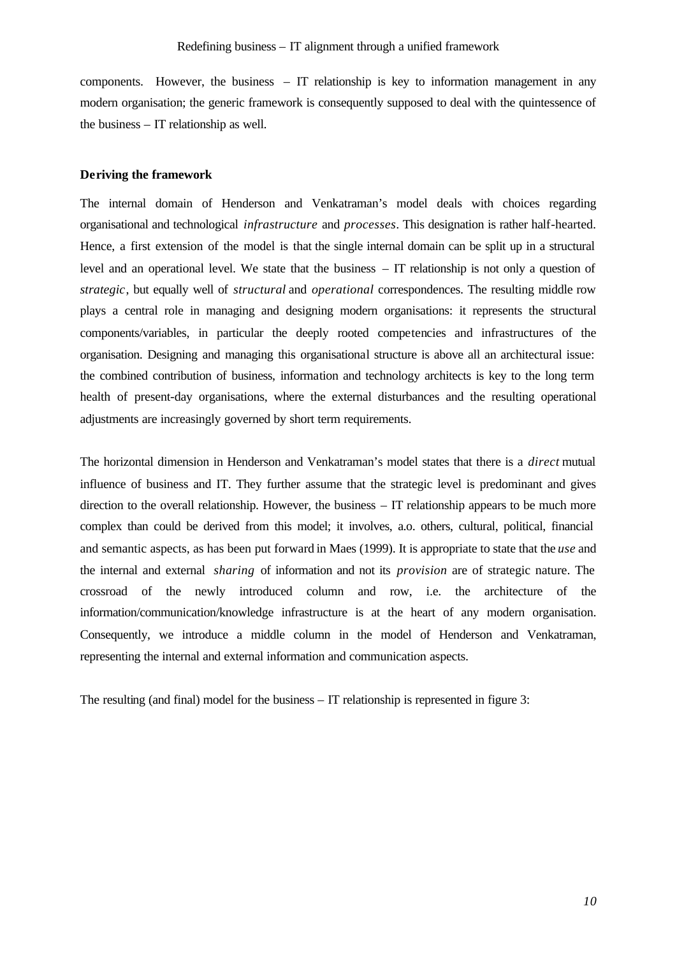components. However, the business  $-$  IT relationship is key to information management in any modern organisation; the generic framework is consequently supposed to deal with the quintessence of the business – IT relationship as well.

#### **Deriving the framework**

The internal domain of Henderson and Venkatraman's model deals with choices regarding organisational and technological *infrastructure* and *processes*. This designation is rather half-hearted. Hence, a first extension of the model is that the single internal domain can be split up in a structural level and an operational level. We state that the business – IT relationship is not only a question of *strategic*, but equally well of *structural* and *operational* correspondences. The resulting middle row plays a central role in managing and designing modern organisations: it represents the structural components/variables, in particular the deeply rooted competencies and infrastructures of the organisation. Designing and managing this organisational structure is above all an architectural issue: the combined contribution of business, information and technology architects is key to the long term health of present-day organisations, where the external disturbances and the resulting operational adjustments are increasingly governed by short term requirements.

The horizontal dimension in Henderson and Venkatraman's model states that there is a *direct* mutual influence of business and IT. They further assume that the strategic level is predominant and gives direction to the overall relationship. However, the business – IT relationship appears to be much more complex than could be derived from this model; it involves, a.o. others, cultural, political, financial and semantic aspects, as has been put forward in Maes (1999). It is appropriate to state that the *use* and the internal and external *sharing* of information and not its *provision* are of strategic nature. The crossroad of the newly introduced column and row, i.e. the architecture of the information/communication/knowledge infrastructure is at the heart of any modern organisation. Consequently, we introduce a middle column in the model of Henderson and Venkatraman, representing the internal and external information and communication aspects.

The resulting (and final) model for the business – IT relationship is represented in figure 3: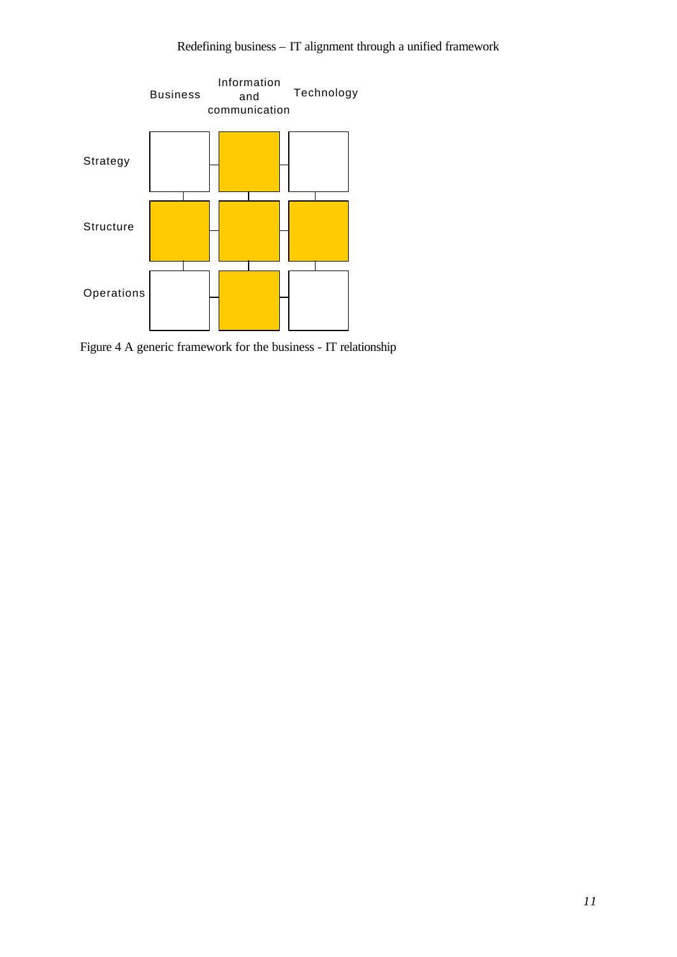

Figure 4 A generic framework for the business - IT relationship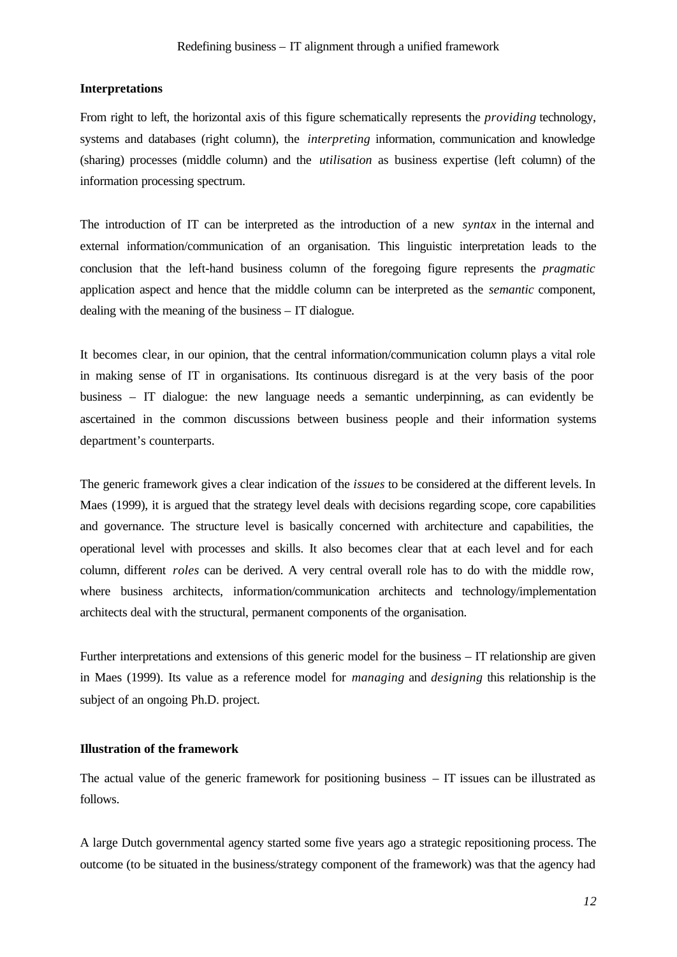#### **Interpretations**

From right to left, the horizontal axis of this figure schematically represents the *providing* technology, systems and databases (right column), the *interpreting* information, communication and knowledge (sharing) processes (middle column) and the *utilisation* as business expertise (left column) of the information processing spectrum.

The introduction of IT can be interpreted as the introduction of a new *syntax* in the internal and external information/communication of an organisation. This linguistic interpretation leads to the conclusion that the left-hand business column of the foregoing figure represents the *pragmatic* application aspect and hence that the middle column can be interpreted as the *semantic* component, dealing with the meaning of the business – IT dialogue.

It becomes clear, in our opinion, that the central information/communication column plays a vital role in making sense of IT in organisations. Its continuous disregard is at the very basis of the poor business – IT dialogue: the new language needs a semantic underpinning, as can evidently be ascertained in the common discussions between business people and their information systems department's counterparts.

The generic framework gives a clear indication of the *issues* to be considered at the different levels. In Maes (1999), it is argued that the strategy level deals with decisions regarding scope, core capabilities and governance. The structure level is basically concerned with architecture and capabilities, the operational level with processes and skills. It also becomes clear that at each level and for each column, different *roles* can be derived. A very central overall role has to do with the middle row, where business architects, information/communication architects and technology/implementation architects deal with the structural, permanent components of the organisation.

Further interpretations and extensions of this generic model for the business – IT relationship are given in Maes (1999). Its value as a reference model for *managing* and *designing* this relationship is the subject of an ongoing Ph.D. project.

#### **Illustration of the framework**

The actual value of the generic framework for positioning business – IT issues can be illustrated as follows.

A large Dutch governmental agency started some five years ago a strategic repositioning process. The outcome (to be situated in the business/strategy component of the framework) was that the agency had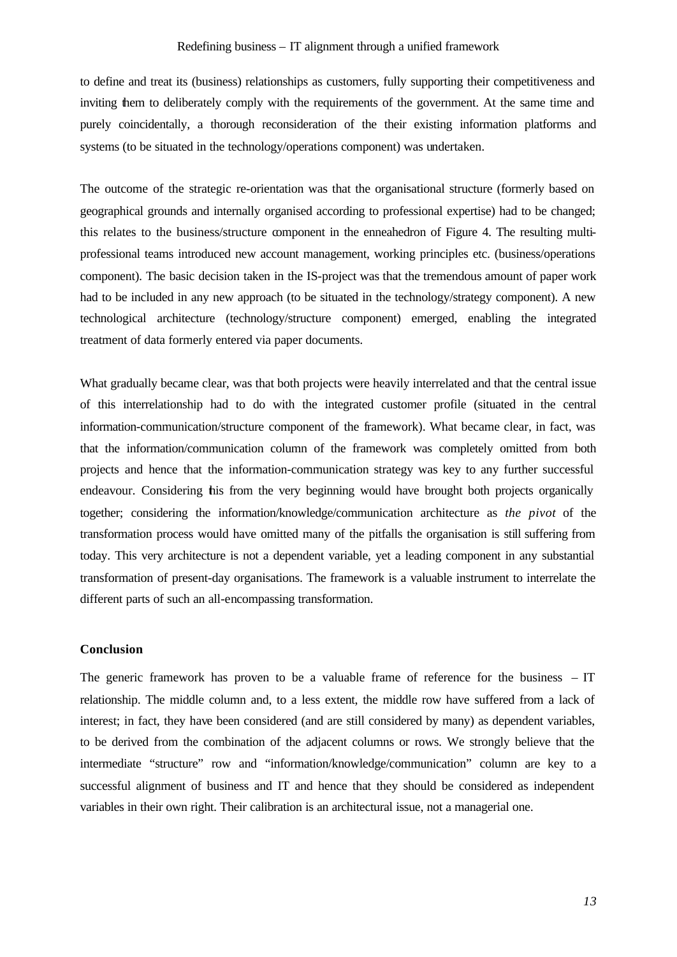#### Redefining business – IT alignment through a unified framework

to define and treat its (business) relationships as customers, fully supporting their competitiveness and inviting them to deliberately comply with the requirements of the government. At the same time and purely coincidentally, a thorough reconsideration of the their existing information platforms and systems (to be situated in the technology/operations component) was undertaken.

The outcome of the strategic re-orientation was that the organisational structure (formerly based on geographical grounds and internally organised according to professional expertise) had to be changed; this relates to the business/structure component in the enneahedron of Figure 4. The resulting multiprofessional teams introduced new account management, working principles etc. (business/operations component). The basic decision taken in the IS-project was that the tremendous amount of paper work had to be included in any new approach (to be situated in the technology/strategy component). A new technological architecture (technology/structure component) emerged, enabling the integrated treatment of data formerly entered via paper documents.

What gradually became clear, was that both projects were heavily interrelated and that the central issue of this interrelationship had to do with the integrated customer profile (situated in the central information-communication/structure component of the framework). What became clear, in fact, was that the information/communication column of the framework was completely omitted from both projects and hence that the information-communication strategy was key to any further successful endeavour. Considering his from the very beginning would have brought both projects organically together; considering the information/knowledge/communication architecture as *the pivot* of the transformation process would have omitted many of the pitfalls the organisation is still suffering from today. This very architecture is not a dependent variable, yet a leading component in any substantial transformation of present-day organisations. The framework is a valuable instrument to interrelate the different parts of such an all-encompassing transformation.

## **Conclusion**

The generic framework has proven to be a valuable frame of reference for the business – IT relationship. The middle column and, to a less extent, the middle row have suffered from a lack of interest; in fact, they have been considered (and are still considered by many) as dependent variables, to be derived from the combination of the adjacent columns or rows. We strongly believe that the intermediate "structure" row and "information/knowledge/communication" column are key to a successful alignment of business and IT and hence that they should be considered as independent variables in their own right. Their calibration is an architectural issue, not a managerial one.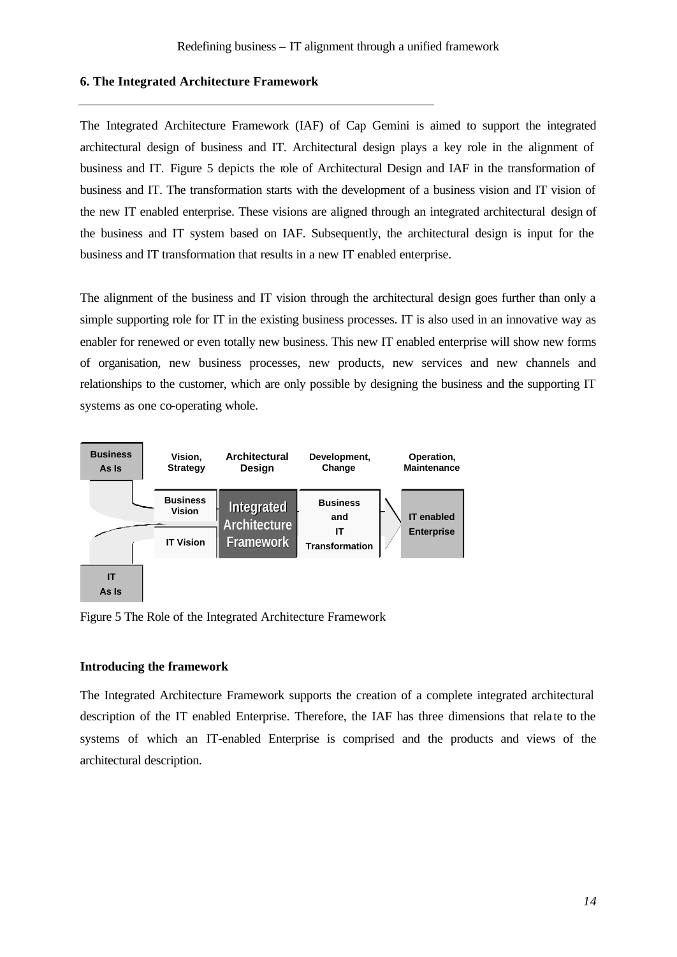#### **6. The Integrated Architecture Framework**

The Integrated Architecture Framework (IAF) of Cap Gemini is aimed to support the integrated architectural design of business and IT. Architectural design plays a key role in the alignment of business and IT. Figure 5 depicts the role of Architectural Design and IAF in the transformation of business and IT. The transformation starts with the development of a business vision and IT vision of the new IT enabled enterprise. These visions are aligned through an integrated architectural design of the business and IT system based on IAF. Subsequently, the architectural design is input for the business and IT transformation that results in a new IT enabled enterprise.

The alignment of the business and IT vision through the architectural design goes further than only a simple supporting role for IT in the existing business processes. IT is also used in an innovative way as enabler for renewed or even totally new business. This new IT enabled enterprise will show new forms of organisation, new business processes, new products, new services and new channels and relationships to the customer, which are only possible by designing the business and the supporting IT systems as one co-operating whole.



Figure 5 The Role of the Integrated Architecture Framework

#### **Introducing the framework**

The Integrated Architecture Framework supports the creation of a complete integrated architectural description of the IT enabled Enterprise. Therefore, the IAF has three dimensions that rela te to the systems of which an IT-enabled Enterprise is comprised and the products and views of the architectural description.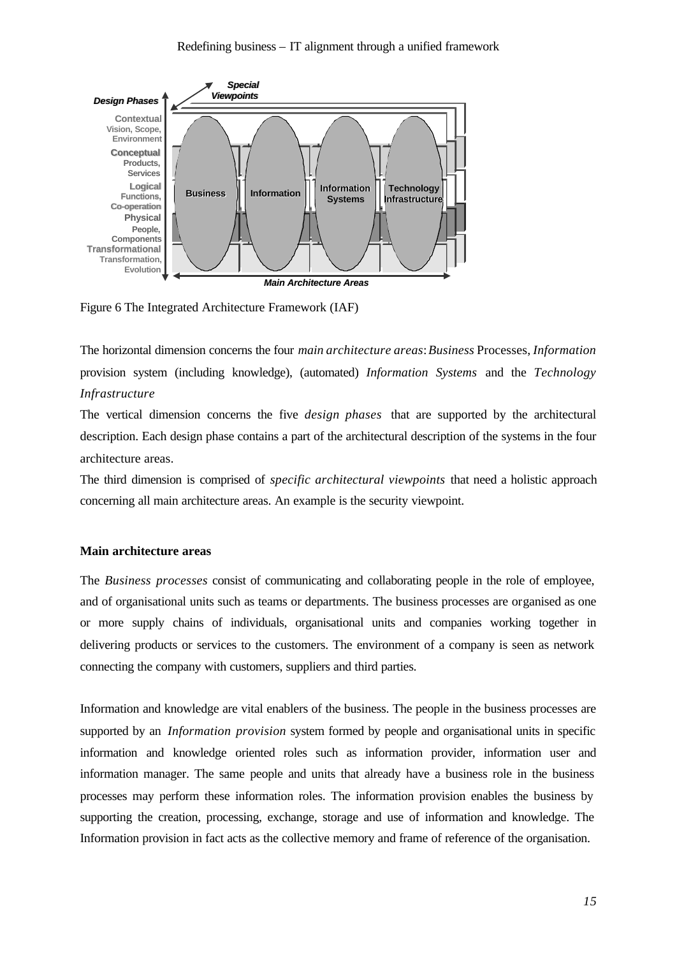

Figure 6 The Integrated Architecture Framework (IAF)

The horizontal dimension concerns the four *main architecture areas*: *Business* Processes, *Information* provision system (including knowledge), (automated) *Information Systems* and the *Technology Infrastructure*

The vertical dimension concerns the five *design phases* that are supported by the architectural description. Each design phase contains a part of the architectural description of the systems in the four architecture areas.

The third dimension is comprised of *specific architectural viewpoints* that need a holistic approach concerning all main architecture areas. An example is the security viewpoint.

#### **Main architecture areas**

The *Business processes* consist of communicating and collaborating people in the role of employee, and of organisational units such as teams or departments. The business processes are organised as one or more supply chains of individuals, organisational units and companies working together in delivering products or services to the customers. The environment of a company is seen as network connecting the company with customers, suppliers and third parties.

Information and knowledge are vital enablers of the business. The people in the business processes are supported by an *Information provision* system formed by people and organisational units in specific information and knowledge oriented roles such as information provider, information user and information manager. The same people and units that already have a business role in the business processes may perform these information roles. The information provision enables the business by supporting the creation, processing, exchange, storage and use of information and knowledge. The Information provision in fact acts as the collective memory and frame of reference of the organisation.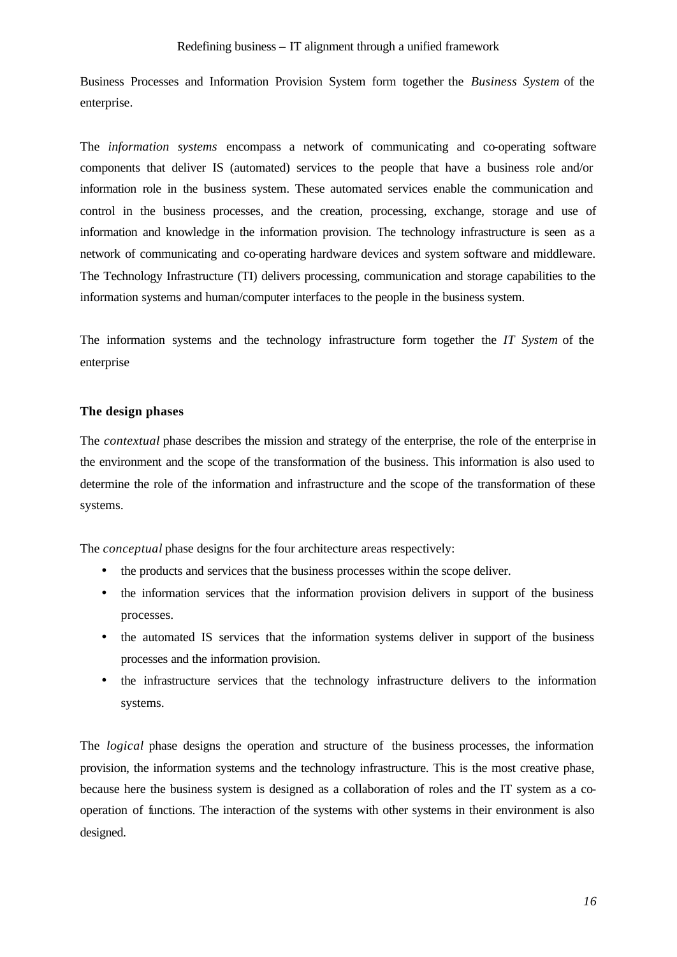Business Processes and Information Provision System form together the *Business System* of the enterprise.

The *information systems* encompass a network of communicating and co-operating software components that deliver IS (automated) services to the people that have a business role and/or information role in the business system. These automated services enable the communication and control in the business processes, and the creation, processing, exchange, storage and use of information and knowledge in the information provision. The technology infrastructure is seen as a network of communicating and co-operating hardware devices and system software and middleware. The Technology Infrastructure (TI) delivers processing, communication and storage capabilities to the information systems and human/computer interfaces to the people in the business system.

The information systems and the technology infrastructure form together the *IT System* of the enterprise

#### **The design phases**

The *contextual* phase describes the mission and strategy of the enterprise, the role of the enterprise in the environment and the scope of the transformation of the business. This information is also used to determine the role of the information and infrastructure and the scope of the transformation of these systems.

The *conceptual* phase designs for the four architecture areas respectively:

- the products and services that the business processes within the scope deliver.
- the information services that the information provision delivers in support of the business processes.
- the automated IS services that the information systems deliver in support of the business processes and the information provision.
- the infrastructure services that the technology infrastructure delivers to the information systems.

The *logical* phase designs the operation and structure of the business processes, the information provision, the information systems and the technology infrastructure. This is the most creative phase, because here the business system is designed as a collaboration of roles and the IT system as a cooperation of functions. The interaction of the systems with other systems in their environment is also designed.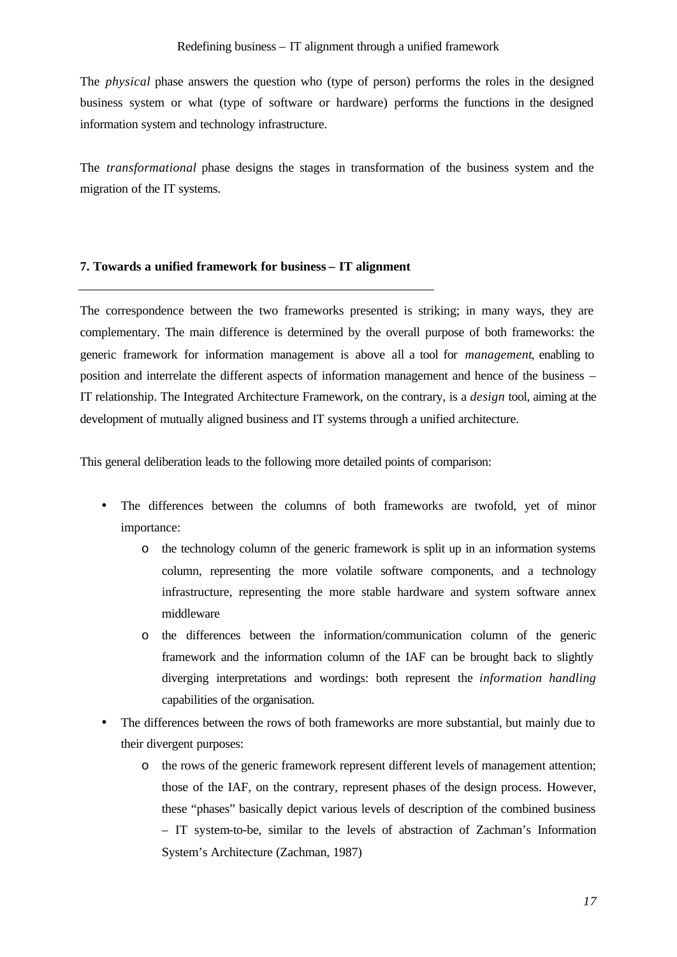The *physical* phase answers the question who (type of person) performs the roles in the designed business system or what (type of software or hardware) performs the functions in the designed information system and technology infrastructure.

The *transformational* phase designs the stages in transformation of the business system and the migration of the IT systems.

## **7. Towards a unified framework for business – IT alignment**

The correspondence between the two frameworks presented is striking; in many ways, they are complementary. The main difference is determined by the overall purpose of both frameworks: the generic framework for information management is above all a tool for *management*, enabling to position and interrelate the different aspects of information management and hence of the business – IT relationship. The Integrated Architecture Framework, on the contrary, is a *design* tool, aiming at the development of mutually aligned business and IT systems through a unified architecture.

This general deliberation leads to the following more detailed points of comparison:

- The differences between the columns of both frameworks are twofold, yet of minor importance:
	- o the technology column of the generic framework is split up in an information systems column, representing the more volatile software components, and a technology infrastructure, representing the more stable hardware and system software annex middleware
	- o the differences between the information/communication column of the generic framework and the information column of the IAF can be brought back to slightly diverging interpretations and wordings: both represent the *information handling* capabilities of the organisation.
- The differences between the rows of both frameworks are more substantial, but mainly due to their divergent purposes:
	- o the rows of the generic framework represent different levels of management attention; those of the IAF, on the contrary, represent phases of the design process. However, these "phases" basically depict various levels of description of the combined business – IT system-to-be, similar to the levels of abstraction of Zachman's Information System's Architecture (Zachman, 1987)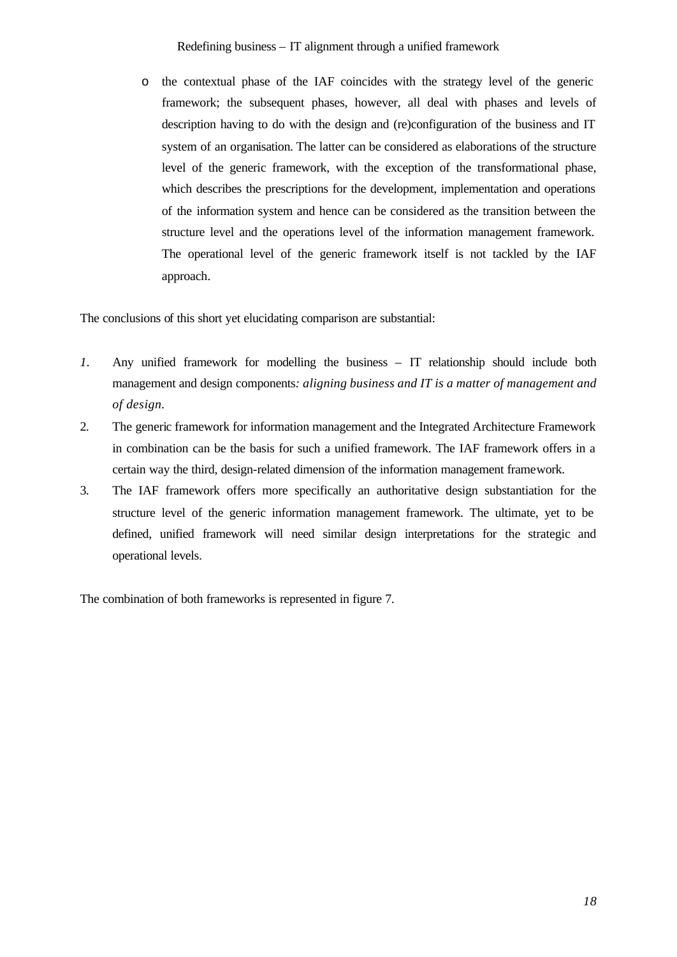Redefining business – IT alignment through a unified framework

o the contextual phase of the IAF coincides with the strategy level of the generic framework; the subsequent phases, however, all deal with phases and levels of description having to do with the design and (re)configuration of the business and IT system of an organisation. The latter can be considered as elaborations of the structure level of the generic framework, with the exception of the transformational phase, which describes the prescriptions for the development, implementation and operations of the information system and hence can be considered as the transition between the structure level and the operations level of the information management framework. The operational level of the generic framework itself is not tackled by the IAF approach.

The conclusions of this short yet elucidating comparison are substantial:

- *1.* Any unified framework for modelling the business IT relationship should include both management and design components*: aligning business and IT is a matter of management and of design.*
- 2. The generic framework for information management and the Integrated Architecture Framework in combination can be the basis for such a unified framework. The IAF framework offers in a certain way the third, design-related dimension of the information management framework.
- 3. The IAF framework offers more specifically an authoritative design substantiation for the structure level of the generic information management framework. The ultimate, yet to be defined, unified framework will need similar design interpretations for the strategic and operational levels.

The combination of both frameworks is represented in figure 7.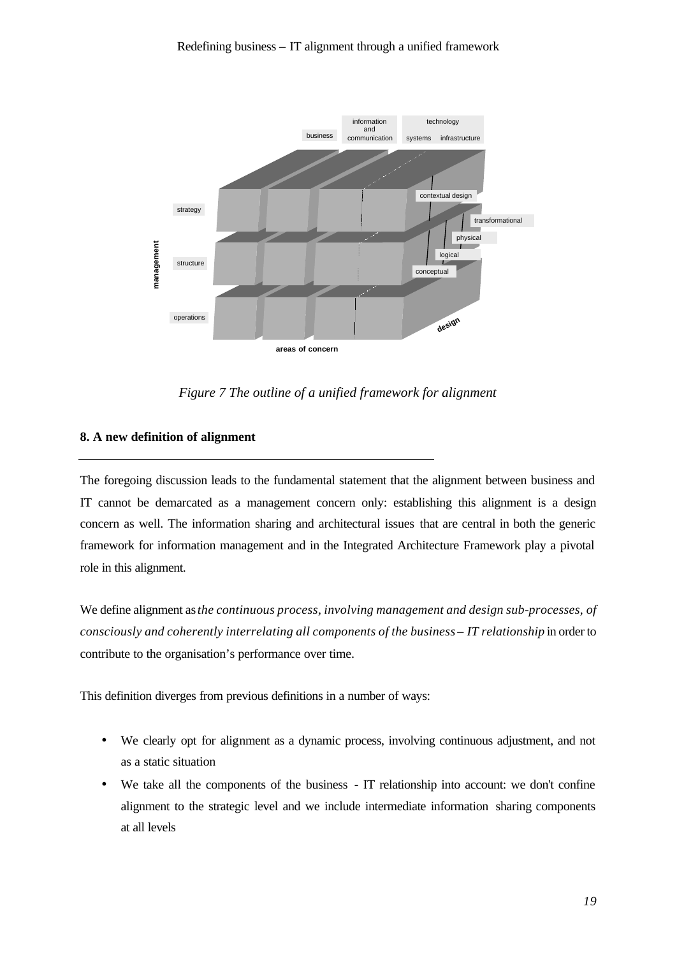

*Figure 7 The outline of a unified framework for alignment*

# **8. A new definition of alignment**

The foregoing discussion leads to the fundamental statement that the alignment between business and IT cannot be demarcated as a management concern only: establishing this alignment is a design concern as well. The information sharing and architectural issues that are central in both the generic framework for information management and in the Integrated Architecture Framework play a pivotal role in this alignment.

We define alignment as *the continuous process, involving management and design sub-processes, of consciously and coherently interrelating all components of the business - IT relationship* in order to contribute to the organisation's performance over time.

This definition diverges from previous definitions in a number of ways:

- We clearly opt for alignment as a dynamic process, involving continuous adjustment, and not as a static situation
- We take all the components of the business IT relationship into account: we don't confine alignment to the strategic level and we include intermediate information sharing components at all levels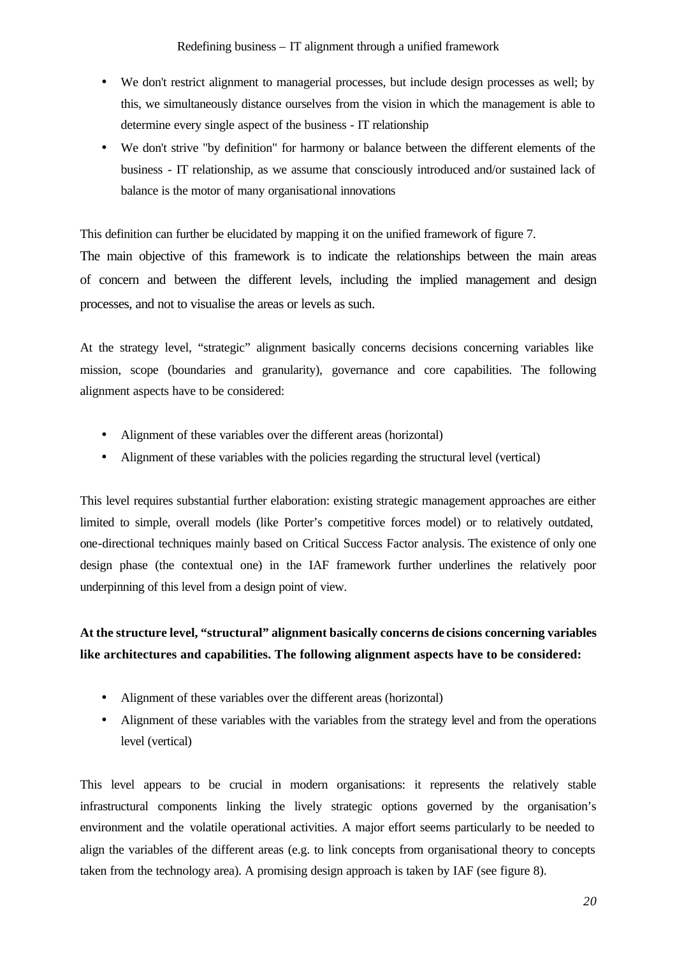- We don't restrict alignment to managerial processes, but include design processes as well; by this, we simultaneously distance ourselves from the vision in which the management is able to determine every single aspect of the business - IT relationship
- We don't strive "by definition" for harmony or balance between the different elements of the business - IT relationship, as we assume that consciously introduced and/or sustained lack of balance is the motor of many organisational innovations

This definition can further be elucidated by mapping it on the unified framework of figure 7. The main objective of this framework is to indicate the relationships between the main areas of concern and between the different levels, including the implied management and design processes, and not to visualise the areas or levels as such.

At the strategy level, "strategic" alignment basically concerns decisions concerning variables like mission, scope (boundaries and granularity), governance and core capabilities. The following alignment aspects have to be considered:

- Alignment of these variables over the different areas (horizontal)
- Alignment of these variables with the policies regarding the structural level (vertical)

This level requires substantial further elaboration: existing strategic management approaches are either limited to simple, overall models (like Porter's competitive forces model) or to relatively outdated, one-directional techniques mainly based on Critical Success Factor analysis. The existence of only one design phase (the contextual one) in the IAF framework further underlines the relatively poor underpinning of this level from a design point of view.

# **At the structure level, "structural" alignment basically concerns de cisions concerning variables like architectures and capabilities. The following alignment aspects have to be considered:**

- Alignment of these variables over the different areas (horizontal)
- Alignment of these variables with the variables from the strategy level and from the operations level (vertical)

This level appears to be crucial in modern organisations: it represents the relatively stable infrastructural components linking the lively strategic options governed by the organisation's environment and the volatile operational activities. A major effort seems particularly to be needed to align the variables of the different areas (e.g. to link concepts from organisational theory to concepts taken from the technology area). A promising design approach is taken by IAF (see figure 8).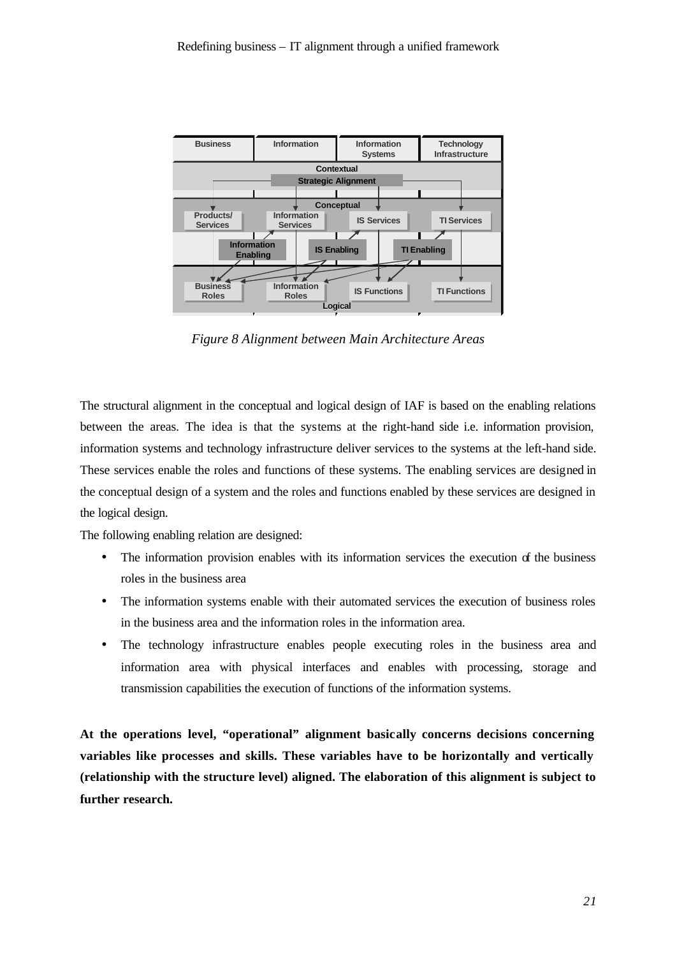

*Figure 8 Alignment between Main Architecture Areas*

The structural alignment in the conceptual and logical design of IAF is based on the enabling relations between the areas. The idea is that the systems at the right-hand side i.e. information provision, information systems and technology infrastructure deliver services to the systems at the left-hand side. These services enable the roles and functions of these systems. The enabling services are designed in the conceptual design of a system and the roles and functions enabled by these services are designed in the logical design.

The following enabling relation are designed:

- The information provision enables with its information services the execution of the business roles in the business area
- The information systems enable with their automated services the execution of business roles in the business area and the information roles in the information area.
- The technology infrastructure enables people executing roles in the business area and information area with physical interfaces and enables with processing, storage and transmission capabilities the execution of functions of the information systems.

**At the operations level, "operational" alignment basically concerns decisions concerning variables like processes and skills. These variables have to be horizontally and vertically (relationship with the structure level) aligned. The elaboration of this alignment is subject to further research.**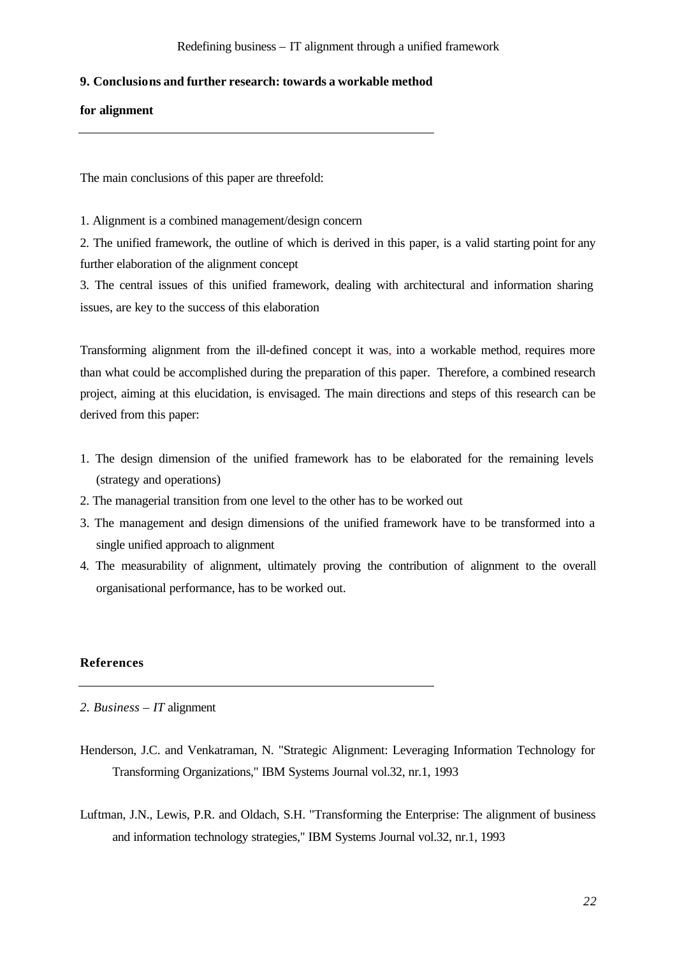## **9. Conclusions and further research: towards a workable method**

### **for alignment**

The main conclusions of this paper are threefold:

1. Alignment is a combined management/design concern

2. The unified framework, the outline of which is derived in this paper, is a valid starting point for any further elaboration of the alignment concept

3. The central issues of this unified framework, dealing with architectural and information sharing issues, are key to the success of this elaboration

Transforming alignment from the ill-defined concept it was, into a workable method, requires more than what could be accomplished during the preparation of this paper. Therefore, a combined research project, aiming at this elucidation, is envisaged. The main directions and steps of this research can be derived from this paper:

- 1. The design dimension of the unified framework has to be elaborated for the remaining levels (strategy and operations)
- 2. The managerial transition from one level to the other has to be worked out
- 3. The management and design dimensions of the unified framework have to be transformed into a single unified approach to alignment
- 4. The measurability of alignment, ultimately proving the contribution of alignment to the overall organisational performance, has to be worked out.

## **References**

*2. Business – IT* alignment

- Henderson, J.C. and Venkatraman, N. "Strategic Alignment: Leveraging Information Technology for Transforming Organizations," IBM Systems Journal vol.32, nr.1, 1993
- Luftman, J.N., Lewis, P.R. and Oldach, S.H. "Transforming the Enterprise: The alignment of business and information technology strategies," IBM Systems Journal vol.32, nr.1, 1993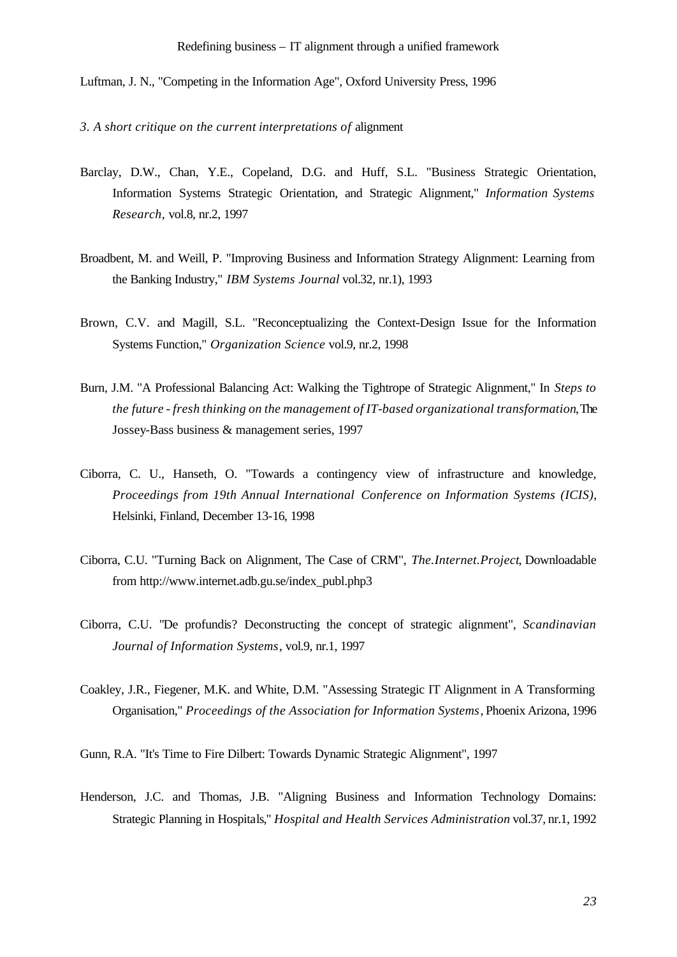Luftman, J. N., "Competing in the Information Age", Oxford University Press, 1996

*3. A short critique on the current interpretations of* alignment

- Barclay, D.W., Chan, Y.E., Copeland, D.G. and Huff, S.L. "Business Strategic Orientation, Information Systems Strategic Orientation, and Strategic Alignment," *Information Systems Research,* vol.8, nr.2, 1997
- Broadbent, M. and Weill, P. "Improving Business and Information Strategy Alignment: Learning from the Banking Industry," *IBM Systems Journal* vol.32, nr.1), 1993
- Brown, C.V. and Magill, S.L. "Reconceptualizing the Context-Design Issue for the Information Systems Function," *Organization Science* vol.9, nr.2, 1998
- Burn, J.M. "A Professional Balancing Act: Walking the Tightrope of Strategic Alignment," In *Steps to the future - fresh thinking on the management of IT-based organizational transformation*, The Jossey-Bass business & management series, 1997
- Ciborra, C. U., Hanseth, O. "Towards a contingency view of infrastructure and knowledge, *Proceedings from 19th Annual International Conference on Information Systems (ICIS)*, Helsinki, Finland, December 13-16, 1998
- Ciborra, C.U. "Turning Back on Alignment, The Case of CRM", *The.Internet.Project*, Downloadable from http://www.internet.adb.gu.se/index\_publ.php3
- Ciborra, C.U. "De profundis? Deconstructing the concept of strategic alignment", *Scandinavian Journal of Information Systems*, vol.9, nr.1, 1997
- Coakley, J.R., Fiegener, M.K. and White, D.M. "Assessing Strategic IT Alignment in A Transforming Organisation," *Proceedings of the Association for Information Systems*, Phoenix Arizona, 1996

Gunn, R.A. "It's Time to Fire Dilbert: Towards Dynamic Strategic Alignment", 1997

Henderson, J.C. and Thomas, J.B. "Aligning Business and Information Technology Domains: Strategic Planning in Hospitals," *Hospital and Health Services Administration* vol.37, nr.1, 1992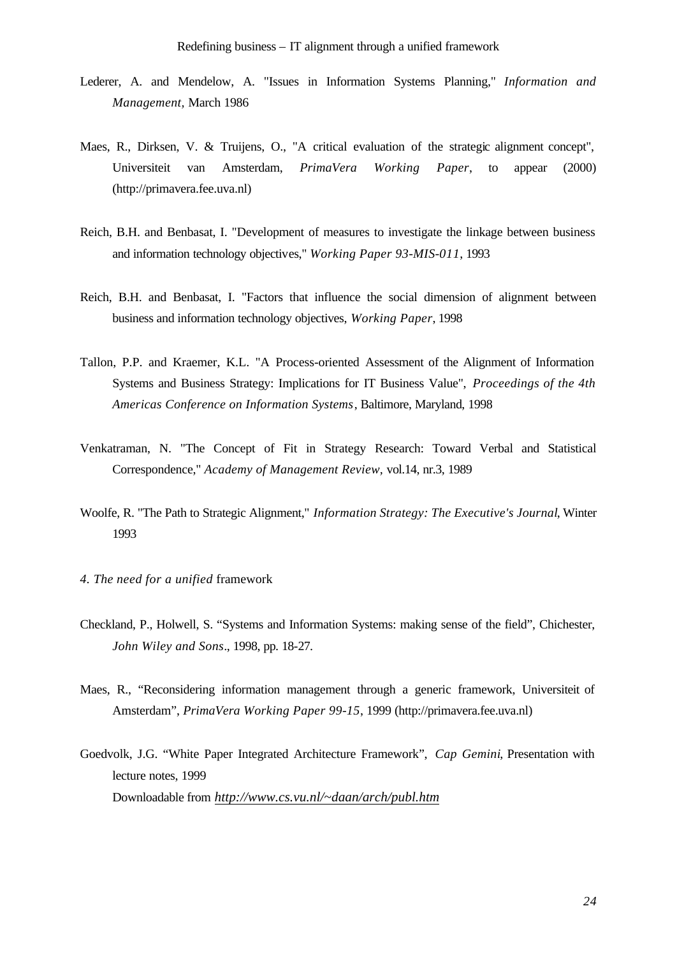- Lederer, A. and Mendelow, A. "Issues in Information Systems Planning," *Information and Management,* March 1986
- Maes, R., Dirksen, V. & Truijens, O., "A critical evaluation of the strategic alignment concept", Universiteit van Amsterdam, *PrimaVera Working Paper*, to appear (2000) (http://primavera.fee.uva.nl)
- Reich, B.H. and Benbasat, I. "Development of measures to investigate the linkage between business and information technology objectives," *Working Paper 93-MIS-011*, 1993
- Reich, B.H. and Benbasat, I. "Factors that influence the social dimension of alignment between business and information technology objectives, *Working Paper*, 1998
- Tallon, P.P. and Kraemer, K.L. "A Process-oriented Assessment of the Alignment of Information Systems and Business Strategy: Implications for IT Business Value", *Proceedings of the 4th Americas Conference on Information Systems*, Baltimore, Maryland, 1998
- Venkatraman, N. "The Concept of Fit in Strategy Research: Toward Verbal and Statistical Correspondence," *Academy of Management Review,* vol.14, nr.3, 1989
- Woolfe, R. "The Path to Strategic Alignment," *Information Strategy: The Executive's Journal*, Winter 1993
- *4. The need for a unified* framework
- Checkland, P., Holwell, S. "Systems and Information Systems: making sense of the field", Chichester, *John Wiley and Sons*., 1998, pp. 18-27.
- Maes, R., "Reconsidering information management through a generic framework, Universiteit of Amsterdam", *PrimaVera Working Paper 99-15*, 1999 (http://primavera.fee.uva.nl)
- Goedvolk, J.G. "White Paper Integrated Architecture Framework", *Cap Gemini*, Presentation with lecture notes, 1999 Downloadable from *http://www.cs.vu.nl/~daan/arch/publ.htm*